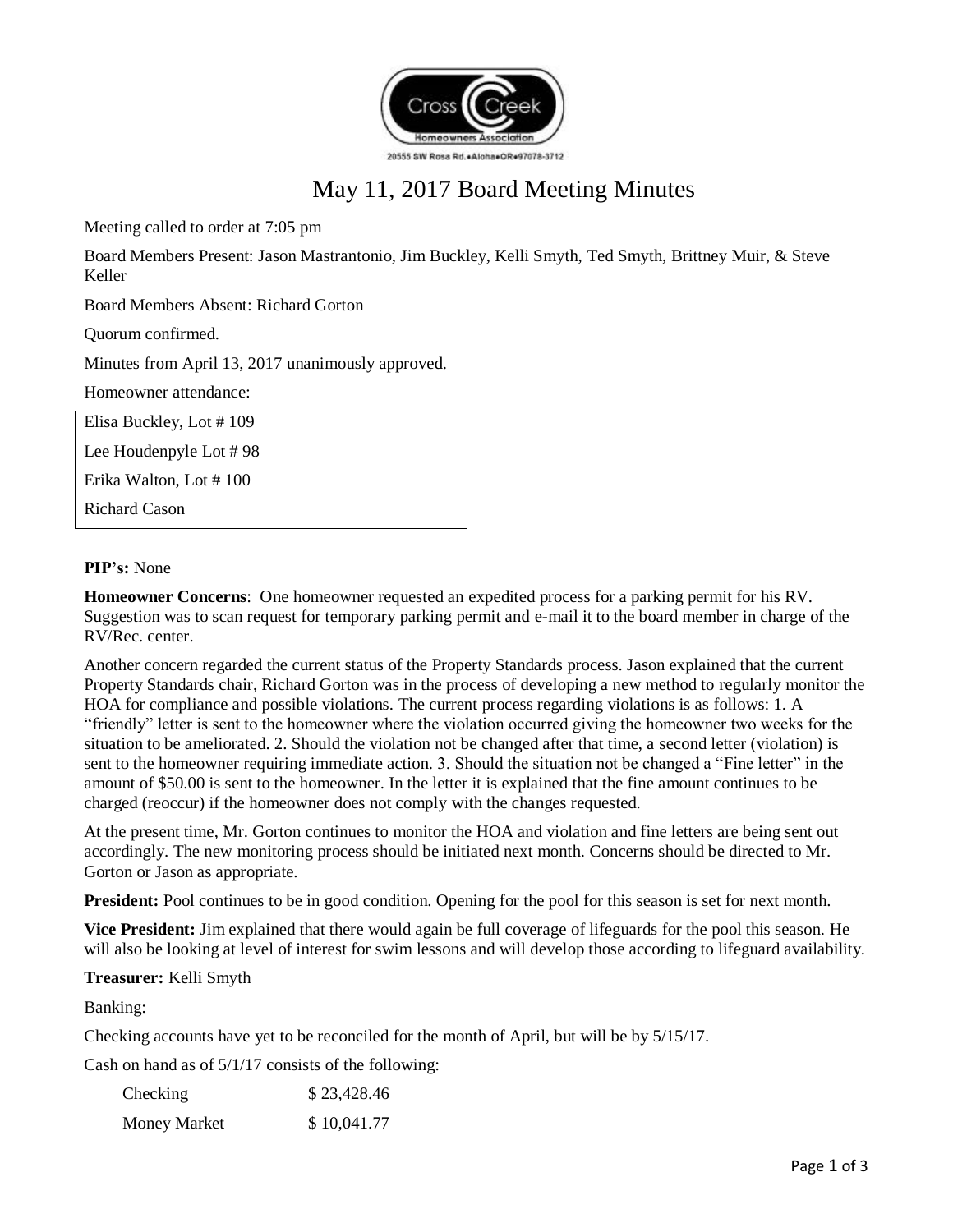

# May 11, 2017 Board Meeting Minutes

Meeting called to order at 7:05 pm

Board Members Present: Jason Mastrantonio, Jim Buckley, Kelli Smyth, Ted Smyth, Brittney Muir, & Steve Keller

Board Members Absent: Richard Gorton

Quorum confirmed.

Minutes from April 13, 2017 unanimously approved.

Homeowner attendance:

| Elisa Buckley, Lot #109  |  |
|--------------------------|--|
| Lee Houdenpyle Lot $#98$ |  |
| Erika Walton, Lot #100   |  |
| <b>Richard Cason</b>     |  |
|                          |  |

## **PIP's:** None

**Homeowner Concerns**: One homeowner requested an expedited process for a parking permit for his RV. Suggestion was to scan request for temporary parking permit and e-mail it to the board member in charge of the RV/Rec. center.

Another concern regarded the current status of the Property Standards process. Jason explained that the current Property Standards chair, Richard Gorton was in the process of developing a new method to regularly monitor the HOA for compliance and possible violations. The current process regarding violations is as follows: 1. A "friendly" letter is sent to the homeowner where the violation occurred giving the homeowner two weeks for the situation to be ameliorated. 2. Should the violation not be changed after that time, a second letter (violation) is sent to the homeowner requiring immediate action. 3. Should the situation not be changed a "Fine letter" in the amount of \$50.00 is sent to the homeowner. In the letter it is explained that the fine amount continues to be charged (reoccur) if the homeowner does not comply with the changes requested.

At the present time, Mr. Gorton continues to monitor the HOA and violation and fine letters are being sent out accordingly. The new monitoring process should be initiated next month. Concerns should be directed to Mr. Gorton or Jason as appropriate.

**President:** Pool continues to be in good condition. Opening for the pool for this season is set for next month.

**Vice President:** Jim explained that there would again be full coverage of lifeguards for the pool this season. He will also be looking at level of interest for swim lessons and will develop those according to lifeguard availability.

#### **Treasurer:** Kelli Smyth

Banking:

Checking accounts have yet to be reconciled for the month of April, but will be by 5/15/17.

Cash on hand as of 5/1/17 consists of the following:

| Checking            | \$23,428.46 |
|---------------------|-------------|
| <b>Money Market</b> | \$10,041.77 |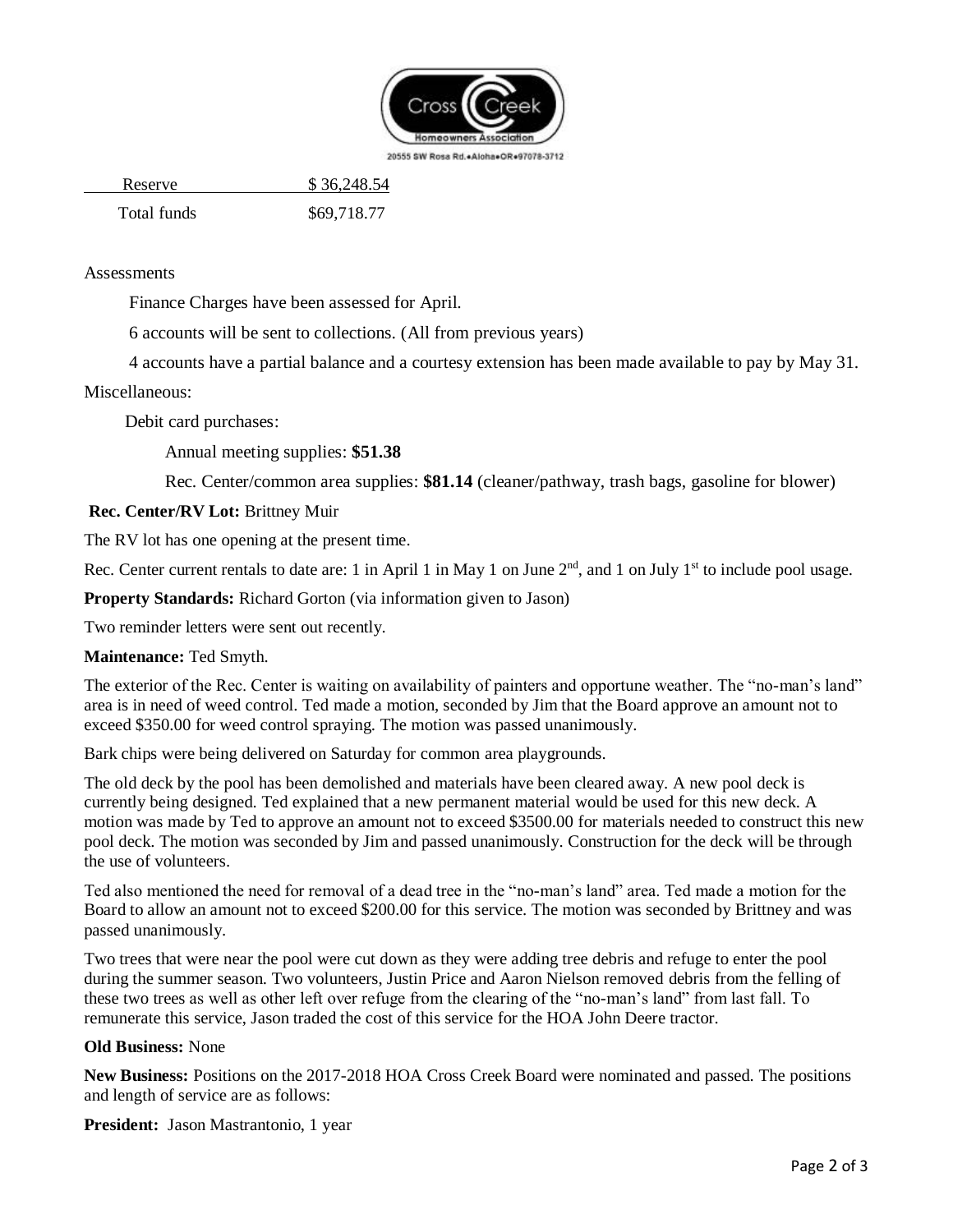

20555 SW Rosa Rd. + Aloha + OR +97078-3712

Reserve \$ 36,248.54

Total funds \$69,718.77

## **Assessments**

Finance Charges have been assessed for April.

6 accounts will be sent to collections. (All from previous years)

4 accounts have a partial balance and a courtesy extension has been made available to pay by May 31.

#### Miscellaneous:

Debit card purchases:

Annual meeting supplies: **\$51.38**

Rec. Center/common area supplies: **\$81.14** (cleaner/pathway, trash bags, gasoline for blower)

# **Rec. Center/RV Lot:** Brittney Muir

The RV lot has one opening at the present time.

Rec. Center current rentals to date are: 1 in April 1 in May 1 on June  $2<sup>nd</sup>$ , and 1 on July 1<sup>st</sup> to include pool usage.

**Property Standards:** Richard Gorton (via information given to Jason)

Two reminder letters were sent out recently.

#### **Maintenance:** Ted Smyth.

The exterior of the Rec. Center is waiting on availability of painters and opportune weather. The "no-man's land" area is in need of weed control. Ted made a motion, seconded by Jim that the Board approve an amount not to exceed \$350.00 for weed control spraying. The motion was passed unanimously.

Bark chips were being delivered on Saturday for common area playgrounds.

The old deck by the pool has been demolished and materials have been cleared away. A new pool deck is currently being designed. Ted explained that a new permanent material would be used for this new deck. A motion was made by Ted to approve an amount not to exceed \$3500.00 for materials needed to construct this new pool deck. The motion was seconded by Jim and passed unanimously. Construction for the deck will be through the use of volunteers.

Ted also mentioned the need for removal of a dead tree in the "no-man's land" area. Ted made a motion for the Board to allow an amount not to exceed \$200.00 for this service. The motion was seconded by Brittney and was passed unanimously.

Two trees that were near the pool were cut down as they were adding tree debris and refuge to enter the pool during the summer season. Two volunteers, Justin Price and Aaron Nielson removed debris from the felling of these two trees as well as other left over refuge from the clearing of the "no-man's land" from last fall. To remunerate this service, Jason traded the cost of this service for the HOA John Deere tractor.

#### **Old Business:** None

**New Business:** Positions on the 2017-2018 HOA Cross Creek Board were nominated and passed. The positions and length of service are as follows:

**President:** Jason Mastrantonio, 1 year